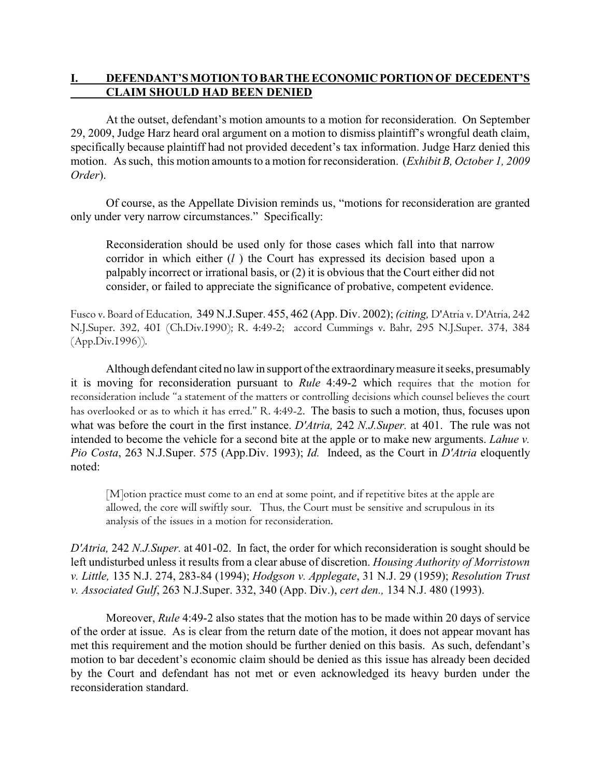## **I. DEFENDANT'S MOTION TO BAR THE ECONOMIC PORTION OF DECEDENT'S CLAIM SHOULD HAD BEEN DENIED**

At the outset, defendant's motion amounts to a motion for reconsideration. On September 29, 2009, Judge Harz heard oral argument on a motion to dismiss plaintiff's wrongful death claim, specifically because plaintiff had not provided decedent's tax information. Judge Harz denied this motion. As such, this motion amounts to a motion for reconsideration. (*Exhibit B, October 1, 2009 Order*).

Of course, as the Appellate Division reminds us, "motions for reconsideration are granted only under very narrow circumstances." Specifically:

Reconsideration should be used only for those cases which fall into that narrow corridor in which either (*l* ) the Court has expressed its decision based upon a palpably incorrect or irrational basis, or (2) it is obvious that the Court either did not consider, or failed to appreciate the significance of probative, competent evidence.

*Fusco v. Board of Education*, 349 N.J.Super. 455, 462 (App. Div. 2002); *(citing, D'Atria v. D'Atria,* 242 *N.J.Super.* 392, 401 (Ch.Div.1990); *R.* 4:49-2; *accord Cummings v. Bahr,* 295 *N.J.Super.* 374, 384 (App.Div.1996)).

Although defendant cited no law in support of the extraordinary measure it seeks, presumably it is moving for reconsideration pursuant to *Rule* 4:49-2 which requires that the motion for reconsideration include "a statement of the matters or controlling decisions which counsel believes the court has overlooked or as to which it has erred." *R.* 4:49-2. The basis to such a motion, thus, focuses upon what was before the court in the first instance. *D'Atria,* 242 *N.J.Super.* at 401. The rule was not intended to become the vehicle for a second bite at the apple or to make new arguments. *Lahue v. Pio Costa*, 263 N.J.Super. 575 (App.Div. 1993); *Id.* Indeed, as the Court in *D'Atria* eloquently noted:

[M]otion practice must come to an end at some point, and if repetitive bites at the apple are allowed, the core will swiftly sour. Thus, the Court must be sensitive and scrupulous in its analysis of the issues in a motion for reconsideration.

*D'Atria,* 242 *N.J.Super.* at 401-02. In fact, the order for which reconsideration is sought should be left undisturbed unless it results from a clear abuse of discretion. *Housing Authority of Morristown v. Little,* 135 N.J. 274, 283-84 (1994); *Hodgson v. Applegate*, 31 N.J. 29 (1959); *Resolution Trust v. Associated Gulf*, 263 N.J.Super. 332, 340 (App. Div.), *cert den.,* 134 N.J. 480 (1993).

Moreover, *Rule* 4:49-2 also states that the motion has to be made within 20 days of service of the order at issue. As is clear from the return date of the motion, it does not appear movant has met this requirement and the motion should be further denied on this basis. As such, defendant's motion to bar decedent's economic claim should be denied as this issue has already been decided by the Court and defendant has not met or even acknowledged its heavy burden under the reconsideration standard.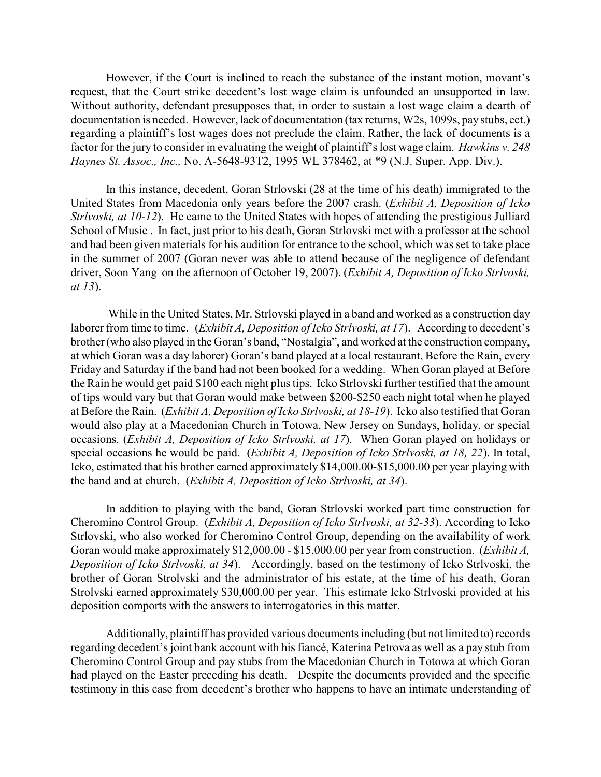However, if the Court is inclined to reach the substance of the instant motion, movant's request, that the Court strike decedent's lost wage claim is unfounded an unsupported in law. Without authority, defendant presupposes that, in order to sustain a lost wage claim a dearth of documentation is needed. However, lack of documentation (tax returns, W2s, 1099s, pay stubs, ect.) regarding a plaintiff's lost wages does not preclude the claim. Rather, the lack of documents is a factor for the jury to consider in evaluating the weight of plaintiff's lost wage claim. *Hawkins v. 248 Haynes St. Assoc., Inc.,* No. A-5648-93T2, 1995 WL 378462, at \*9 (N.J. Super. App. Div.).

In this instance, decedent, Goran Strlovski (28 at the time of his death) immigrated to the United States from Macedonia only years before the 2007 crash. (*Exhibit A, Deposition of Icko Strlvoski, at 10-12*). He came to the United States with hopes of attending the prestigious Julliard School of Music . In fact, just prior to his death, Goran Strlovski met with a professor at the school and had been given materials for his audition for entrance to the school, which was set to take place in the summer of 2007 (Goran never was able to attend because of the negligence of defendant driver, Soon Yang on the afternoon of October 19, 2007). (*Exhibit A, Deposition of Icko Strlvoski, at 13*).

 While in the United States, Mr. Strlovski played in a band and worked as a construction day laborer from time to time. (*Exhibit A, Deposition of Icko Strlvoski, at 17*). According to decedent's brother (who also played in the Goran's band, "Nostalgia", and worked at the construction company, at which Goran was a day laborer) Goran's band played at a local restaurant, Before the Rain, every Friday and Saturday if the band had not been booked for a wedding. When Goran played at Before the Rain he would get paid \$100 each night plus tips. Icko Strlovski further testified that the amount of tips would vary but that Goran would make between \$200-\$250 each night total when he played at Before the Rain. (*Exhibit A, Deposition of Icko Strlvoski, at 18-19*). Icko also testified that Goran would also play at a Macedonian Church in Totowa, New Jersey on Sundays, holiday, or special occasions. (*Exhibit A, Deposition of Icko Strlvoski, at 17*). When Goran played on holidays or special occasions he would be paid. (*Exhibit A, Deposition of Icko Strlvoski, at 18, 22*). In total, Icko, estimated that his brother earned approximately \$14,000.00-\$15,000.00 per year playing with the band and at church. (*Exhibit A, Deposition of Icko Strlvoski, at 34*).

In addition to playing with the band, Goran Strlovski worked part time construction for Cheromino Control Group. (*Exhibit A, Deposition of Icko Strlvoski, at 32-33*). According to Icko Strlovski, who also worked for Cheromino Control Group, depending on the availability of work Goran would make approximately \$12,000.00 - \$15,000.00 per year from construction. (*Exhibit A, Deposition of Icko Strlvoski, at 34*). Accordingly, based on the testimony of Icko Strlvoski, the brother of Goran Strolvski and the administrator of his estate, at the time of his death, Goran Strolvski earned approximately \$30,000.00 per year. This estimate Icko Strlvoski provided at his deposition comports with the answers to interrogatories in this matter.

Additionally, plaintiff has provided various documents including (but not limited to) records regarding decedent's joint bank account with his fiancé, Katerina Petrova as well as a pay stub from Cheromino Control Group and pay stubs from the Macedonian Church in Totowa at which Goran had played on the Easter preceding his death. Despite the documents provided and the specific testimony in this case from decedent's brother who happens to have an intimate understanding of